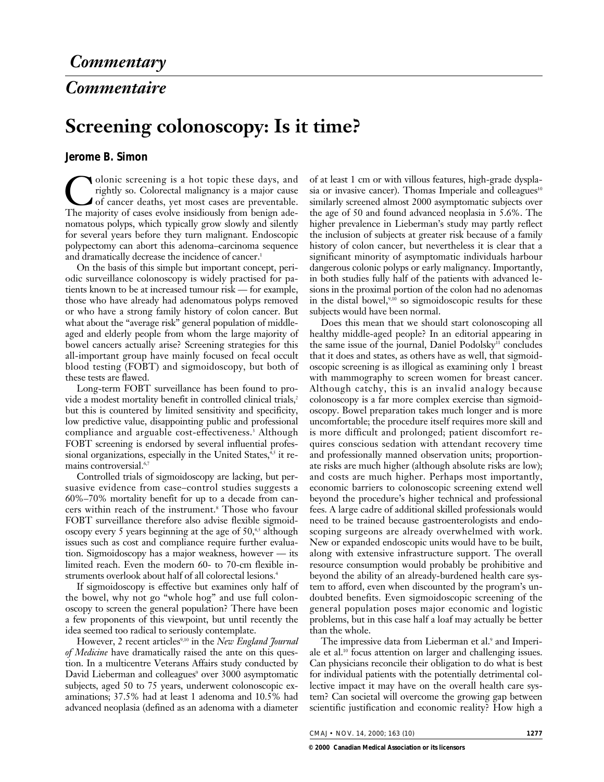## *Commentaire*

## **Screening colonoscopy: Is it time?**

## **Jerome B. Simon**

Colonic screening is a hot topic these days, and<br>rightly so. Colorectal malignancy is a major cause<br>of cancer deaths, yet most cases are preventable.<br>The majority of cases evolve insidiously from benion aderightly so. Colorectal malignancy is a major cause of cancer deaths, yet most cases are preventable. The majority of cases evolve insidiously from benign adenomatous polyps, which typically grow slowly and silently for several years before they turn malignant. Endoscopic polypectomy can abort this adenoma–carcinoma sequence and dramatically decrease the incidence of cancer.<sup>1</sup>

On the basis of this simple but important concept, periodic surveillance colonoscopy is widely practised for patients known to be at increased tumour risk — for example, those who have already had adenomatous polyps removed or who have a strong family history of colon cancer. But what about the "average risk" general population of middleaged and elderly people from whom the large majority of bowel cancers actually arise? Screening strategies for this all-important group have mainly focused on fecal occult blood testing (FOBT) and sigmoidoscopy, but both of these tests are flawed.

Long-term FOBT surveillance has been found to provide a modest mortality benefit in controlled clinical trials,<sup>2</sup> but this is countered by limited sensitivity and specificity, low predictive value, disappointing public and professional compliance and arguable cost-effectiveness.3 Although FOBT screening is endorsed by several influential professional organizations, especially in the United States,<sup>4,5</sup> it remains controversial.<sup>6,7</sup>

Controlled trials of sigmoidoscopy are lacking, but persuasive evidence from case–control studies suggests a 60%–70% mortality benefit for up to a decade from cancers within reach of the instrument.8 Those who favour FOBT surveillance therefore also advise flexible sigmoidoscopy every 5 years beginning at the age of  $50<sup>4,5</sup>$  although issues such as cost and compliance require further evaluation. Sigmoidoscopy has a major weakness, however — its limited reach. Even the modern 60- to 70-cm flexible instruments overlook about half of all colorectal lesions.<sup>4</sup>

If sigmoidoscopy is effective but examines only half of the bowel, why not go "whole hog" and use full colonoscopy to screen the general population? There have been a few proponents of this viewpoint, but until recently the idea seemed too radical to seriously contemplate.

However, 2 recent articles<sup>9,10</sup> in the *New England Journal of Medicine* have dramatically raised the ante on this question. In a multicentre Veterans Affairs study conducted by David Lieberman and colleagues<sup>9</sup> over 3000 asymptomatic subjects, aged 50 to 75 years, underwent colonoscopic examinations; 37.5% had at least 1 adenoma and 10.5% had advanced neoplasia (defined as an adenoma with a diameter

of at least 1 cm or with villous features, high-grade dysplasia or invasive cancer). Thomas Imperiale and colleagues<sup>10</sup> similarly screened almost 2000 asymptomatic subjects over the age of 50 and found advanced neoplasia in 5.6%. The higher prevalence in Lieberman's study may partly reflect the inclusion of subjects at greater risk because of a family history of colon cancer, but nevertheless it is clear that a significant minority of asymptomatic individuals harbour dangerous colonic polyps or early malignancy. Importantly, in both studies fully half of the patients with advanced lesions in the proximal portion of the colon had no adenomas in the distal bowel, $9,10$  so sigmoidoscopic results for these subjects would have been normal.

Does this mean that we should start colonoscoping all healthy middle-aged people? In an editorial appearing in the same issue of the journal, Daniel Podolsky<sup>11</sup> concludes that it does and states, as others have as well, that sigmoidoscopic screening is as illogical as examining only 1 breast with mammography to screen women for breast cancer. Although catchy, this is an invalid analogy because colonoscopy is a far more complex exercise than sigmoidoscopy. Bowel preparation takes much longer and is more uncomfortable; the procedure itself requires more skill and is more difficult and prolonged; patient discomfort requires conscious sedation with attendant recovery time and professionally manned observation units; proportionate risks are much higher (although absolute risks are low); and costs are much higher. Perhaps most importantly, economic barriers to colonoscopic screening extend well beyond the procedure's higher technical and professional fees. A large cadre of additional skilled professionals would need to be trained because gastroenterologists and endoscoping surgeons are already overwhelmed with work. New or expanded endoscopic units would have to be built, along with extensive infrastructure support. The overall resource consumption would probably be prohibitive and beyond the ability of an already-burdened health care system to afford, even when discounted by the program's undoubted benefits. Even sigmoidoscopic screening of the general population poses major economic and logistic problems, but in this case half a loaf may actually be better than the whole.

The impressive data from Lieberman et al.<sup>9</sup> and Imperiale et al.<sup>10</sup> focus attention on larger and challenging issues. Can physicians reconcile their obligation to do what is best for individual patients with the potentially detrimental collective impact it may have on the overall health care system? Can societal will overcome the growing gap between scientific justification and economic reality? How high a